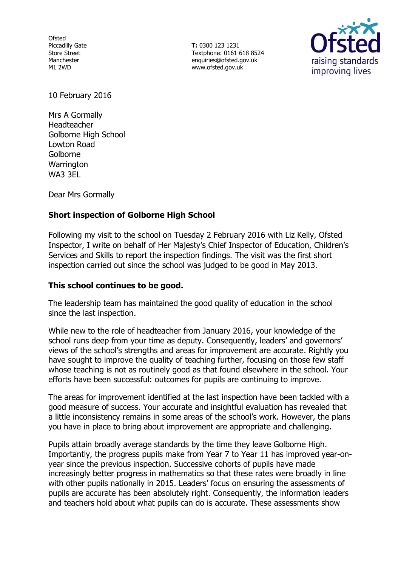**Ofsted** Piccadilly Gate Store Street Manchester M1 2WD

**T:** 0300 123 1231 Textphone: 0161 618 8524 enquiries@ofsted.gov.uk www.ofsted.gov.uk



10 February 2016

Mrs A Gormally Headteacher Golborne High School Lowton Road Golborne **Warrington** WA3 3EL

Dear Mrs Gormally

# **Short inspection of Golborne High School**

Following my visit to the school on Tuesday 2 February 2016 with Liz Kelly, Ofsted Inspector, I write on behalf of Her Majesty's Chief Inspector of Education, Children's Services and Skills to report the inspection findings. The visit was the first short inspection carried out since the school was judged to be good in May 2013.

## **This school continues to be good.**

The leadership team has maintained the good quality of education in the school since the last inspection.

While new to the role of headteacher from January 2016, your knowledge of the school runs deep from your time as deputy. Consequently, leaders' and governors' views of the school's strengths and areas for improvement are accurate. Rightly you have sought to improve the quality of teaching further, focusing on those few staff whose teaching is not as routinely good as that found elsewhere in the school. Your efforts have been successful: outcomes for pupils are continuing to improve.

The areas for improvement identified at the last inspection have been tackled with a good measure of success. Your accurate and insightful evaluation has revealed that a little inconsistency remains in some areas of the school's work. However, the plans you have in place to bring about improvement are appropriate and challenging.

Pupils attain broadly average standards by the time they leave Golborne High. Importantly, the progress pupils make from Year 7 to Year 11 has improved year-onyear since the previous inspection. Successive cohorts of pupils have made increasingly better progress in mathematics so that these rates were broadly in line with other pupils nationally in 2015. Leaders' focus on ensuring the assessments of pupils are accurate has been absolutely right. Consequently, the information leaders and teachers hold about what pupils can do is accurate. These assessments show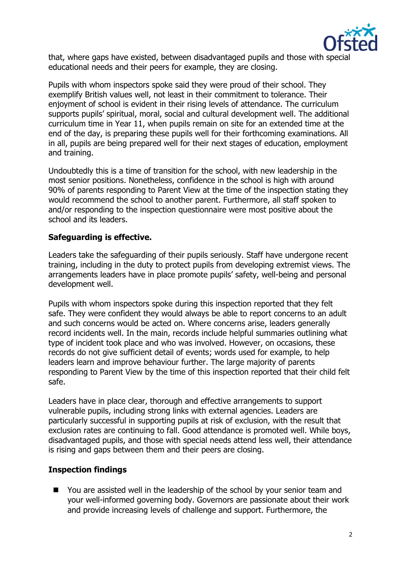

that, where gaps have existed, between disadvantaged pupils and those with special educational needs and their peers for example, they are closing.

Pupils with whom inspectors spoke said they were proud of their school. They exemplify British values well, not least in their commitment to tolerance. Their enjoyment of school is evident in their rising levels of attendance. The curriculum supports pupils' spiritual, moral, social and cultural development well. The additional curriculum time in Year 11, when pupils remain on site for an extended time at the end of the day, is preparing these pupils well for their forthcoming examinations. All in all, pupils are being prepared well for their next stages of education, employment and training.

Undoubtedly this is a time of transition for the school, with new leadership in the most senior positions. Nonetheless, confidence in the school is high with around 90% of parents responding to Parent View at the time of the inspection stating they would recommend the school to another parent. Furthermore, all staff spoken to and/or responding to the inspection questionnaire were most positive about the school and its leaders.

## **Safeguarding is effective.**

Leaders take the safeguarding of their pupils seriously. Staff have undergone recent training, including in the duty to protect pupils from developing extremist views. The arrangements leaders have in place promote pupils' safety, well-being and personal development well.

Pupils with whom inspectors spoke during this inspection reported that they felt safe. They were confident they would always be able to report concerns to an adult and such concerns would be acted on. Where concerns arise, leaders generally record incidents well. In the main, records include helpful summaries outlining what type of incident took place and who was involved. However, on occasions, these records do not give sufficient detail of events; words used for example, to help leaders learn and improve behaviour further. The large majority of parents responding to Parent View by the time of this inspection reported that their child felt safe.

Leaders have in place clear, thorough and effective arrangements to support vulnerable pupils, including strong links with external agencies. Leaders are particularly successful in supporting pupils at risk of exclusion, with the result that exclusion rates are continuing to fall. Good attendance is promoted well. While boys, disadvantaged pupils, and those with special needs attend less well, their attendance is rising and gaps between them and their peers are closing.

## **Inspection findings**

■ You are assisted well in the leadership of the school by your senior team and your well-informed governing body. Governors are passionate about their work and provide increasing levels of challenge and support. Furthermore, the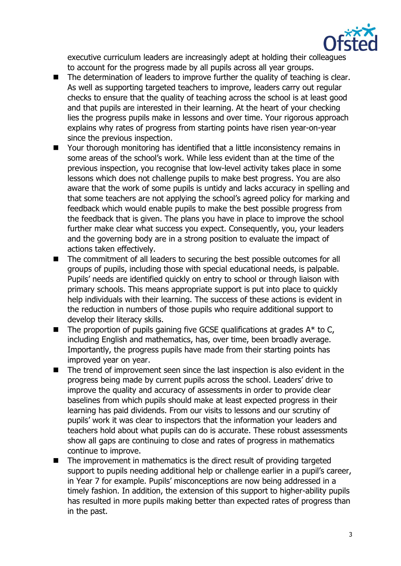

executive curriculum leaders are increasingly adept at holding their colleagues to account for the progress made by all pupils across all year groups.

- The determination of leaders to improve further the quality of teaching is clear. As well as supporting targeted teachers to improve, leaders carry out regular checks to ensure that the quality of teaching across the school is at least good and that pupils are interested in their learning. At the heart of your checking lies the progress pupils make in lessons and over time. Your rigorous approach explains why rates of progress from starting points have risen year-on-year since the previous inspection.
- Your thorough monitoring has identified that a little inconsistency remains in some areas of the school's work. While less evident than at the time of the previous inspection, you recognise that low-level activity takes place in some lessons which does not challenge pupils to make best progress. You are also aware that the work of some pupils is untidy and lacks accuracy in spelling and that some teachers are not applying the school's agreed policy for marking and feedback which would enable pupils to make the best possible progress from the feedback that is given. The plans you have in place to improve the school further make clear what success you expect. Consequently, you, your leaders and the governing body are in a strong position to evaluate the impact of actions taken effectively.
- The commitment of all leaders to securing the best possible outcomes for all groups of pupils, including those with special educational needs, is palpable. Pupils' needs are identified quickly on entry to school or through liaison with primary schools. This means appropriate support is put into place to quickly help individuals with their learning. The success of these actions is evident in the reduction in numbers of those pupils who require additional support to develop their literacy skills.
- $\blacksquare$  The proportion of pupils gaining five GCSE qualifications at grades  $A^*$  to C, including English and mathematics, has, over time, been broadly average. Importantly, the progress pupils have made from their starting points has improved year on year.
- The trend of improvement seen since the last inspection is also evident in the progress being made by current pupils across the school. Leaders' drive to improve the quality and accuracy of assessments in order to provide clear baselines from which pupils should make at least expected progress in their learning has paid dividends. From our visits to lessons and our scrutiny of pupils' work it was clear to inspectors that the information your leaders and teachers hold about what pupils can do is accurate. These robust assessments show all gaps are continuing to close and rates of progress in mathematics continue to improve.
- The improvement in mathematics is the direct result of providing targeted support to pupils needing additional help or challenge earlier in a pupil's career, in Year 7 for example. Pupils' misconceptions are now being addressed in a timely fashion. In addition, the extension of this support to higher-ability pupils has resulted in more pupils making better than expected rates of progress than in the past.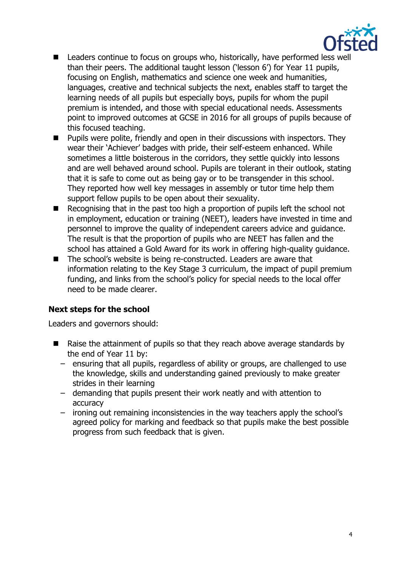

- Leaders continue to focus on groups who, historically, have performed less well than their peers. The additional taught lesson ('lesson 6') for Year 11 pupils, focusing on English, mathematics and science one week and humanities, languages, creative and technical subjects the next, enables staff to target the learning needs of all pupils but especially boys, pupils for whom the pupil premium is intended, and those with special educational needs. Assessments point to improved outcomes at GCSE in 2016 for all groups of pupils because of this focused teaching.
- Pupils were polite, friendly and open in their discussions with inspectors. They wear their 'Achiever' badges with pride, their self-esteem enhanced. While sometimes a little boisterous in the corridors, they settle quickly into lessons and are well behaved around school. Pupils are tolerant in their outlook, stating that it is safe to come out as being gay or to be transgender in this school. They reported how well key messages in assembly or tutor time help them support fellow pupils to be open about their sexuality.
- $\blacksquare$  Recognising that in the past too high a proportion of pupils left the school not in employment, education or training (NEET), leaders have invested in time and personnel to improve the quality of independent careers advice and guidance. The result is that the proportion of pupils who are NEET has fallen and the school has attained a Gold Award for its work in offering high-quality guidance.
- The school's website is being re-constructed. Leaders are aware that information relating to the Key Stage 3 curriculum, the impact of pupil premium funding, and links from the school's policy for special needs to the local offer need to be made clearer.

# **Next steps for the school**

Leaders and governors should:

- Raise the attainment of pupils so that they reach above average standards by the end of Year 11 by:
	- ensuring that all pupils, regardless of ability or groups, are challenged to use the knowledge, skills and understanding gained previously to make greater strides in their learning
	- demanding that pupils present their work neatly and with attention to accuracy
	- ironing out remaining inconsistencies in the way teachers apply the school's agreed policy for marking and feedback so that pupils make the best possible progress from such feedback that is given.